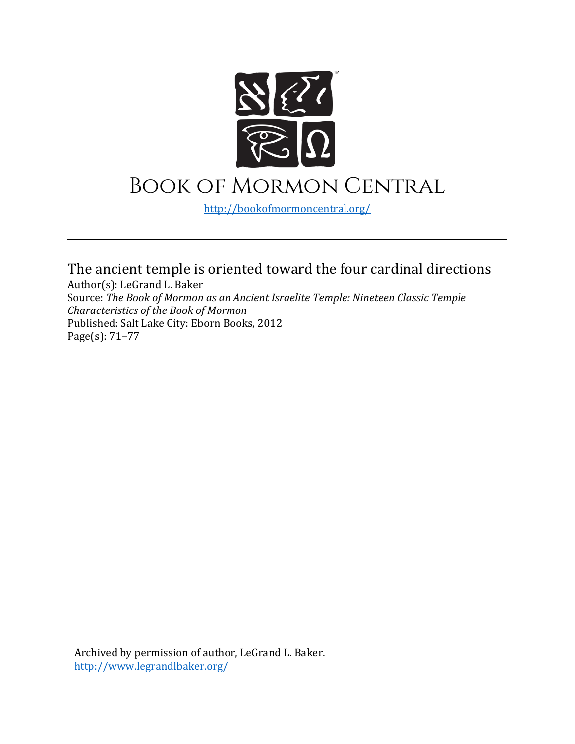

## Book of Mormon Central

<http://bookofmormoncentral.org/>

The ancient temple is oriented toward the four cardinal directions

Author(s): LeGrand L. Baker Source: *The Book of Mormon as an Ancient Israelite Temple: Nineteen Classic Temple Characteristics of the Book of Mormon*  Published: Salt Lake City: Eborn Books, 2012 Page(s): 71–77

Archived by permission of author, LeGrand L. Baker. <http://www.legrandlbaker.org/>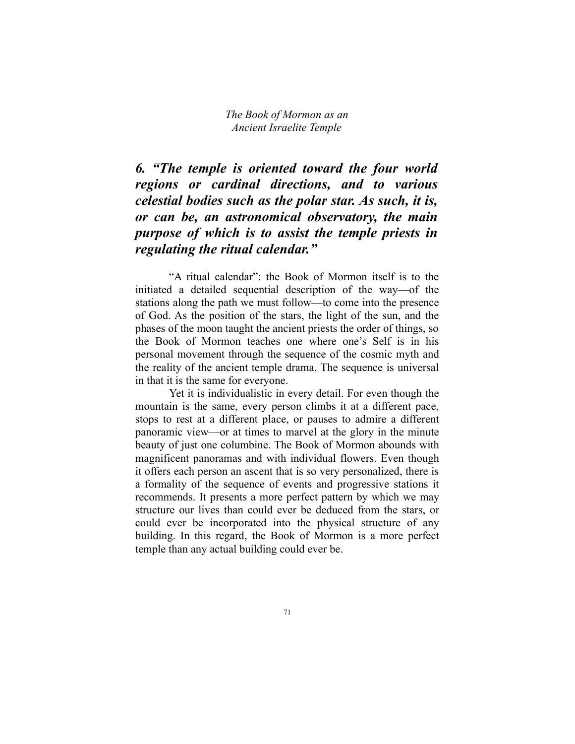*6. "The temple is oriented toward the four world regions or cardinal directions, and to various celestial bodies such as the polar star. As such, it is, or can be, an astronomical observatory, the main purpose of which is to assist the temple priests in regulating the ritual calendar."*

"A ritual calendar": the Book of Mormon itself is to the initiated a detailed sequential description of the way—of the stations along the path we must follow—to come into the presence of God. As the position of the stars, the light of the sun, and the phases of the moon taught the ancient priests the order of things, so the Book of Mormon teaches one where one's Self is in his personal movement through the sequence of the cosmic myth and the reality of the ancient temple drama. The sequence is universal in that it is the same for everyone.

Yet it is individualistic in every detail. For even though the mountain is the same, every person climbs it at a different pace, stops to rest at a different place, or pauses to admire a different panoramic view—or at times to marvel at the glory in the minute beauty of just one columbine. The Book of Mormon abounds with magnificent panoramas and with individual flowers. Even though it offers each person an ascent that is so very personalized, there is a formality of the sequence of events and progressive stations it recommends. It presents a more perfect pattern by which we may structure our lives than could ever be deduced from the stars, or could ever be incorporated into the physical structure of any building. In this regard, the Book of Mormon is a more perfect temple than any actual building could ever be.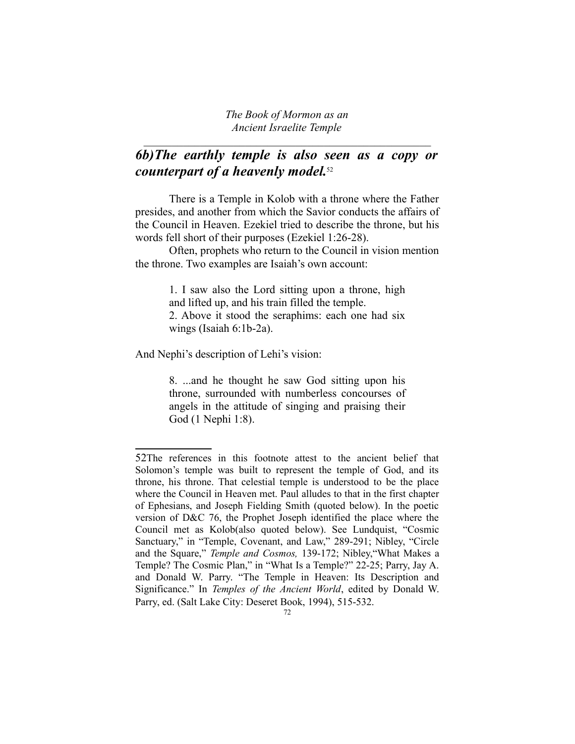*The Book of Mormon as an Ancient Israelite Temple*  $\mathcal{L}_\text{max}$  , and the contract of the contract of the contract of the contract of the contract of the contract of the contract of the contract of the contract of the contract of the contract of the contract of the contr

## *6b)The earthly temple is also seen as a copy or counterpart of a heavenly model.*[52](#page-2-0)

There is a Temple in Kolob with a throne where the Father presides, and another from which the Savior conducts the affairs of the Council in Heaven. Ezekiel tried to describe the throne, but his words fell short of their purposes (Ezekiel 1:26-28).

Often, prophets who return to the Council in vision mention the throne. Two examples are Isaiah's own account:

> 1. I saw also the Lord sitting upon a throne, high and lifted up, and his train filled the temple. 2. Above it stood the seraphims: each one had six wings (Isaiah 6:1b-2a).

And Nephi's description of Lehi's vision:

8. ...and he thought he saw God sitting upon his throne, surrounded with numberless concourses of angels in the attitude of singing and praising their God (1 Nephi 1:8).

<span id="page-2-0"></span><sup>52</sup>The references in this footnote attest to the ancient belief that Solomon's temple was built to represent the temple of God, and its throne, his throne. That celestial temple is understood to be the place where the Council in Heaven met. Paul alludes to that in the first chapter of Ephesians, and Joseph Fielding Smith (quoted below). In the poetic version of D&C 76, the Prophet Joseph identified the place where the Council met as Kolob(also quoted below). See Lundquist, "Cosmic Sanctuary," in "Temple, Covenant, and Law," 289-291; Nibley, "Circle and the Square," *Temple and Cosmos,* 139-172; Nibley,"What Makes a Temple? The Cosmic Plan," in "What Is a Temple?" 22-25; Parry, Jay A. and Donald W. Parry. "The Temple in Heaven: Its Description and Significance." In *Temples of the Ancient World*, edited by Donald W. Parry, ed. (Salt Lake City: Deseret Book, 1994), 515-532.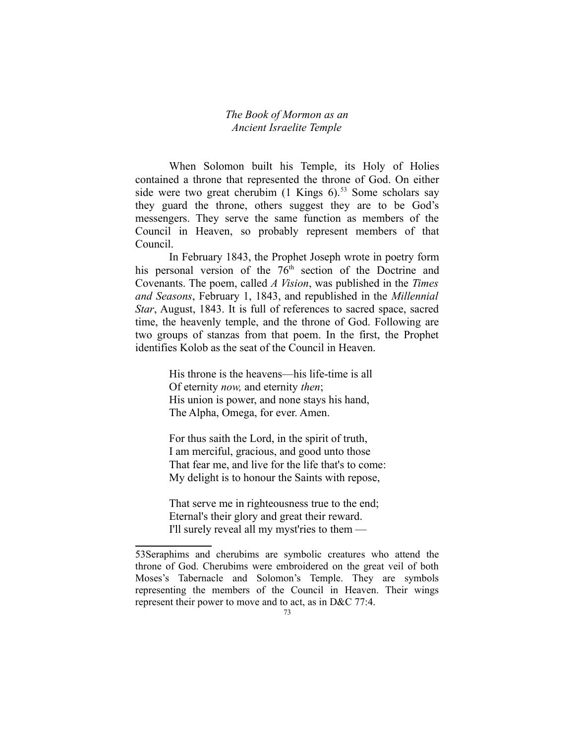When Solomon built his Temple, its Holy of Holies contained a throne that represented the throne of God. On either side were two great cherubim  $(1 \text{ Kings } 6)^{53}$  $(1 \text{ Kings } 6)^{53}$  $(1 \text{ Kings } 6)^{53}$  Some scholars say they guard the throne, others suggest they are to be God's messengers. They serve the same function as members of the Council in Heaven, so probably represent members of that Council.

In February 1843, the Prophet Joseph wrote in poetry form his personal version of the  $76<sup>th</sup>$  section of the Doctrine and Covenants. The poem, called *A Vision*, was published in the *Times and Seasons*, February 1, 1843, and republished in the *Millennial Star*, August, 1843. It is full of references to sacred space, sacred time, the heavenly temple, and the throne of God. Following are two groups of stanzas from that poem. In the first, the Prophet identifies Kolob as the seat of the Council in Heaven.

> His throne is the heavens—his life-time is all Of eternity *now,* and eternity *then*; His union is power, and none stays his hand, The Alpha, Omega, for ever. Amen.

For thus saith the Lord, in the spirit of truth, I am merciful, gracious, and good unto those That fear me, and live for the life that's to come: My delight is to honour the Saints with repose,

That serve me in righteousness true to the end; Eternal's their glory and great their reward. I'll surely reveal all my myst'ries to them —

<span id="page-3-0"></span><sup>53</sup>Seraphims and cherubims are symbolic creatures who attend the throne of God. Cherubims were embroidered on the great veil of both Moses's Tabernacle and Solomon's Temple. They are symbols representing the members of the Council in Heaven. Their wings represent their power to move and to act, as in D&C 77:4.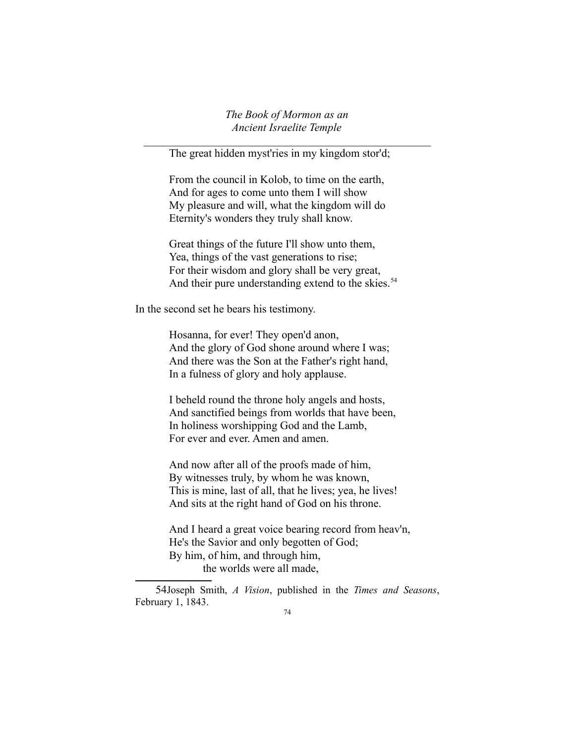*The Book of Mormon as an Ancient Israelite Temple*  $\mathcal{L}_\text{max}$  , and the contract of the contract of the contract of the contract of the contract of the contract of the contract of the contract of the contract of the contract of the contract of the contract of the contr

The great hidden myst'ries in my kingdom stor'd;

From the council in Kolob, to time on the earth, And for ages to come unto them I will show My pleasure and will, what the kingdom will do Eternity's wonders they truly shall know.

Great things of the future I'll show unto them, Yea, things of the vast generations to rise; For their wisdom and glory shall be very great, And their pure understanding extend to the skies.<sup>[54](#page-4-0)</sup>

In the second set he bears his testimony.

Hosanna, for ever! They open'd anon, And the glory of God shone around where I was; And there was the Son at the Father's right hand, In a fulness of glory and holy applause.

I beheld round the throne holy angels and hosts, And sanctified beings from worlds that have been, In holiness worshipping God and the Lamb, For ever and ever. Amen and amen.

And now after all of the proofs made of him, By witnesses truly, by whom he was known, This is mine, last of all, that he lives; yea, he lives! And sits at the right hand of God on his throne.

And I heard a great voice bearing record from heav'n, He's the Savior and only begotten of God; By him, of him, and through him, the worlds were all made,

<span id="page-4-0"></span>54Joseph Smith, *A Vision*, published in the *Times and Seasons*, February 1, 1843.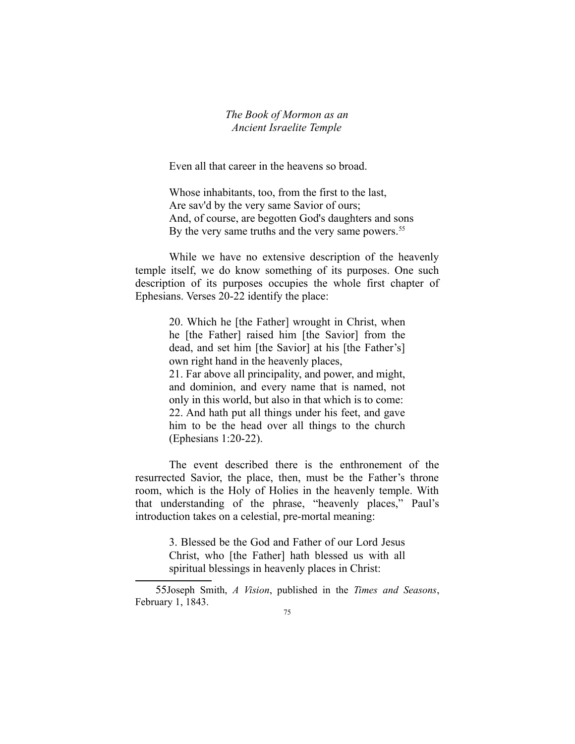Even all that career in the heavens so broad.

Whose inhabitants, too, from the first to the last, Are sav'd by the very same Savior of ours; And, of course, are begotten God's daughters and sons By the very same truths and the very same powers.<sup>[55](#page-5-0)</sup>

While we have no extensive description of the heavenly temple itself, we do know something of its purposes. One such description of its purposes occupies the whole first chapter of Ephesians. Verses 20-22 identify the place:

> 20. Which he [the Father] wrought in Christ, when he [the Father] raised him [the Savior] from the dead, and set him [the Savior] at his [the Father's] own right hand in the heavenly places, 21. Far above all principality, and power, and might, and dominion, and every name that is named, not only in this world, but also in that which is to come: 22. And hath put all things under his feet, and gave him to be the head over all things to the church (Ephesians 1:20-22).

The event described there is the enthronement of the resurrected Savior, the place, then, must be the Father's throne room, which is the Holy of Holies in the heavenly temple. With that understanding of the phrase, "heavenly places," Paul's introduction takes on a celestial, pre-mortal meaning:

> 3. Blessed be the God and Father of our Lord Jesus Christ, who [the Father] hath blessed us with all spiritual blessings in heavenly places in Christ:

<span id="page-5-0"></span><sup>55</sup>Joseph Smith, *A Vision*, published in the *Times and Seasons*, February 1, 1843.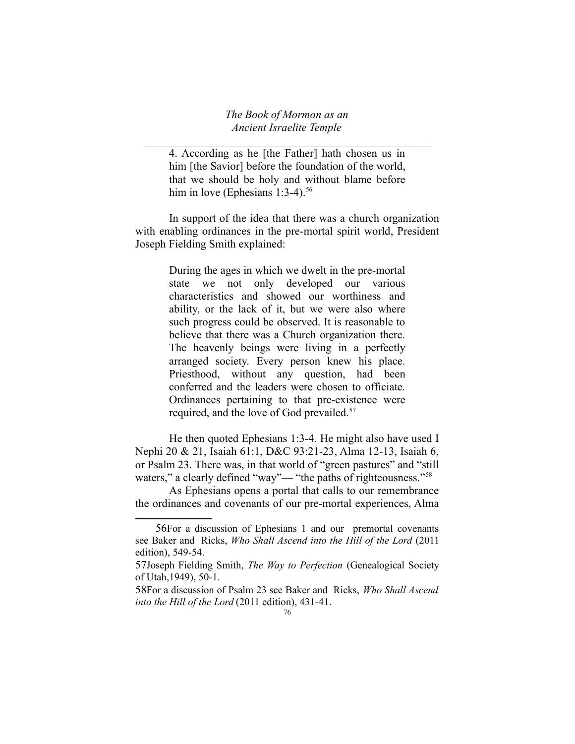*The Book of Mormon as an Ancient Israelite Temple*  $\mathcal{L}_\text{max}$  , and the contract of the contract of the contract of the contract of the contract of the contract of the contract of the contract of the contract of the contract of the contract of the contract of the contr

4. According as he [the Father] hath chosen us in him [the Savior] before the foundation of the world, that we should be holy and without blame before him in love (Ephesians  $1:3-4$ ).<sup>[56](#page-6-0)</sup>

In support of the idea that there was a church organization with enabling ordinances in the pre-mortal spirit world, President Joseph Fielding Smith explained:

> During the ages in which we dwelt in the pre-mortal state we not only developed our various characteristics and showed our worthiness and ability, or the lack of it, but we were also where such progress could be observed. It is reasonable to believe that there was a Church organization there. The heavenly beings were living in a perfectly arranged society. Every person knew his place. Priesthood, without any question, had been conferred and the leaders were chosen to officiate. Ordinances pertaining to that pre-existence were required, and the love of God prevailed.<sup>[57](#page-6-1)</sup>

He then quoted Ephesians 1:3-4. He might also have used I Nephi 20 & 21, Isaiah 61:1, D&C 93:21-23, Alma 12-13, Isaiah 6, or Psalm 23. There was, in that world of "green pastures" and "still waters," a clearly defined "way"— "the paths of righteousness."<sup>[58](#page-6-2)</sup>

As Ephesians opens a portal that calls to our remembrance the ordinances and covenants of our pre-mortal experiences, Alma

<span id="page-6-0"></span><sup>56</sup>For a discussion of Ephesians 1 and our premortal covenants see Baker and Ricks, *Who Shall Ascend into the Hill of the Lord* (2011 edition), 549-54.

<span id="page-6-1"></span><sup>57</sup>Joseph Fielding Smith, *The Way to Perfection* (Genealogical Society of Utah,1949), 50-1.

<span id="page-6-2"></span><sup>58</sup>For a discussion of Psalm 23 see Baker and Ricks, *Who Shall Ascend into the Hill of the Lord* (2011 edition), 431-41.